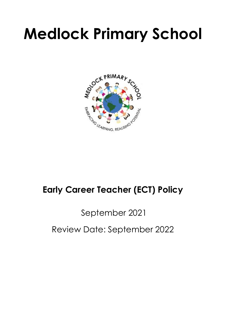# **Medlock Primary School**



## **Early Career Teacher (ECT) Policy**

## September 2021

### Review Date: September 2022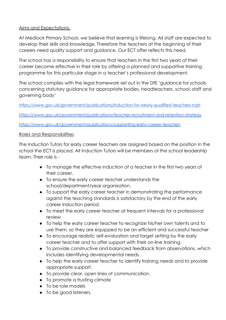#### Aims and Expectations.

At Medlock Primary School, we believe that learning is lifelong. All staff are expected to develop their skills and knowledge. Therefore the teachers at the beginning of their careers need quality support and guidance. Our ECT offer reflects this need.

The school has a responsibility to ensure that teachers in the first two years of their career become effective in their role by offering a planned and supportive training programme for this particular stage in a teacher's professional development.

The school complies with the legal framework set out in the DfE 'guidance for schools concerning statutory guidance for appropriate bodies, headteachers, school, staff and governing body'

<https://www.gov.uk/government/publications/induction-for-newly-qualified-teachers-nqts>

<https://www.gov.uk/government/publications/teacher-recruitment-and-retention-strategy>

<https://www.gov.uk/government/publications/supporting-early-career-teachers>

#### Roles and Responsibilities

The Induction Tutors for early career teachers are assigned based on the position in the school the ECT is placed. All Induction Tutors will be members of the school leadership team. Their role is -

- To manage the effective induction of a teacher in the first two years of their career.
- To ensure the early career teacher understands the school/department/year organisation.
- To support the early career teacher in demonstrating the performance against the teaching standards is satisfactory by the end of the early career induction period.
- To meet the early career teacher at frequent intervals for a professional review
- To help the early career teacher to recognize his/her own talents and to use them, so they are equipped to be an efficient and successful teacher
- To encourage realistic self-evaluation and target setting by the early career teacher and to offer support with their on-line training.
- To provide constructive and balanced feedback from observations, which includes identifying developmental needs.
- To help the early career teacher to identify training needs and to provide appropriate support.
- To provide clear, open lines of communication.
- To promote a trusting climate
- To be role models
- To be good listeners.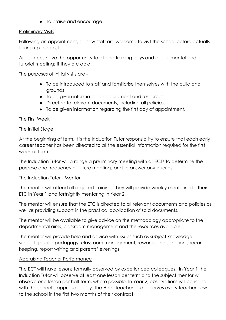● To praise and encourage.

#### Preliminary Visits

Following an appointment, all new staff are welcome to visit the school before actually taking up the post.

Appointees have the opportunity to attend training days and departmental and tutorial meetings if they are able.

The purposes of initial visits are -

- To be introduced to staff and familiarise themselves with the build and grounds
- To be given information on equipment and resources.
- Directed to relevant documents, including all policies.
- To be given information regarding the first day of appointment.

#### The First Week

#### The Initial Stage

At the beginning of term, it is the Induction Tutor responsibility to ensure that each early career teacher has been directed to all the essential information required for the first week of term.

The Induction Tutor will arrange a preliminary meeting with all ECTs to determine the purpose and frequency of future meetings and to answer any queries.

#### The Induction Tutor - Mentor

The mentor will attend all required training. They will provide weekly mentoring to their ETC in Year 1 and fortnightly mentoring in Year 2.

The mentor will ensure that the ETC is directed to all relevant documents and policies as well as providing support in the practical application of said documents.

The mentor will be available to give advice on the methodology appropriate to the departmental aims, classroom management and the resources available.

The mentor will provide help and advice with issues such as subject knowledge, subject-specific pedagogy, classroom management, rewards and sanctions, record keeping, report writing and parents' evenings.

#### Appraising Teacher Performance

The ECT will have lessons formally observed by experienced colleagues. In Year 1 the Induction Tutor will observe at least one lesson per term and the subject mentor will observe one lesson per half term, where possible. In Year 2, observations will be in line with the school's appraisal policy. The Headteacher also observes every teacher new to the school in the first two months of their contract.